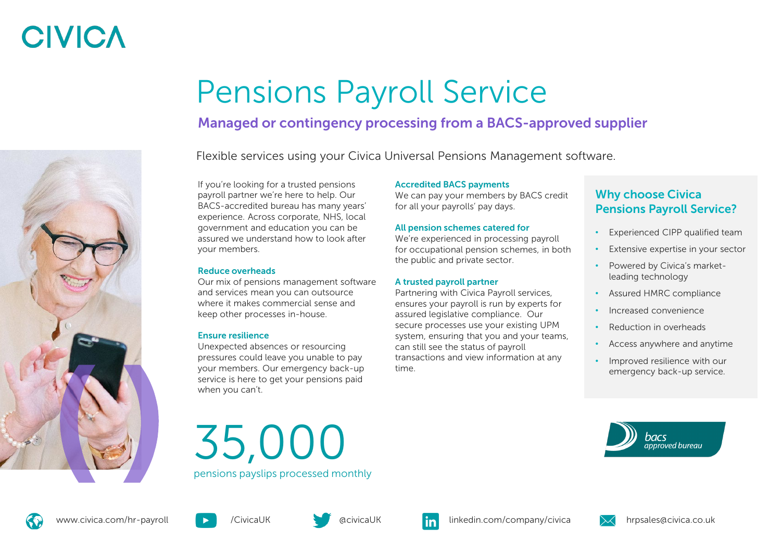# **CIVICA**

# Pensions Payroll Service

## Managed or contingency processing from a BACS-approved supplier

Flexible services using your Civica Universal Pensions Management software.

If you're looking for a trusted pensions payroll partner we're here to help. Our BACS-accredited bureau has many years' experience. Across corporate, NHS, local government and education you can be assured we understand how to look after your members.

## Reduce overheads

Our mix of pensions management software and services mean you can outsource where it makes commercial sense and keep other processes in-house.

## Ensure resilience

Unexpected absences or resourcing pressures could leave you unable to pay your members. Our emergency back-up service is here to get your pensions paid when you can't.

### Accredited BACS payments

We can pay your members by BACS credit for all your payrolls' pay days.

### All pension schemes catered for

We're experienced in processing payroll for occupational pension schemes, in both the public and private sector.

## A trusted payroll partner

Partnering with Civica Payroll services, ensures your payroll is run by experts for assured legislative compliance. Our secure processes use your existing UPM system, ensuring that you and your teams, can still see the status of payroll transactions and view information at any time.

## Why choose Civica Pensions Payroll Service?

- Experienced CIPP qualified team
- Extensive expertise in your sector
- Powered by Civica's marketleading technology
- Assured HMRC compliance
- Increased convenience
- Reduction in overheads
- Access anywhere and anytime
- Improved resilience with our emergency back-up service.